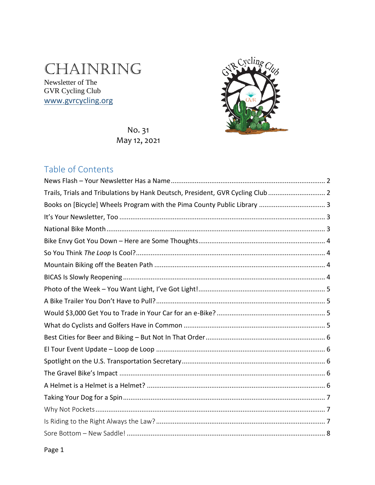# CHAINRING

Newsletter of The **GVR Cycling Club** www.gvrcycling.org



No. 31 May 12, 2021

# Table of Contents

| Trails, Trials and Tribulations by Hank Deutsch, President, GVR Cycling Club  2 |
|---------------------------------------------------------------------------------|
|                                                                                 |
|                                                                                 |
|                                                                                 |
|                                                                                 |
|                                                                                 |
|                                                                                 |
|                                                                                 |
|                                                                                 |
|                                                                                 |
|                                                                                 |
|                                                                                 |
|                                                                                 |
|                                                                                 |
|                                                                                 |
|                                                                                 |
|                                                                                 |
|                                                                                 |
|                                                                                 |
|                                                                                 |
|                                                                                 |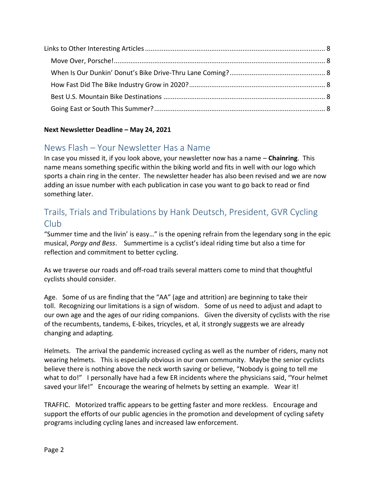#### **Next Newsletter Deadline – May 24, 2021**

# <span id="page-1-0"></span>News Flash – Your Newsletter Has a Name

In case you missed it, if you look above, your newsletter now has a name – **Chainring**. This name means something specific within the biking world and fits in well with our logo which sports a chain ring in the center. The newsletter header has also been revised and we are now adding an issue number with each publication in case you want to go back to read or find something later.

# <span id="page-1-1"></span>Trails, Trials and Tribulations by Hank Deutsch, President, GVR Cycling Club

"Summer time and the livin' is easy…" is the opening refrain from the legendary song in the epic musical, *Porgy and Bess*. Summertime is a cyclist's ideal riding time but also a time for reflection and commitment to better cycling.

As we traverse our roads and off-road trails several matters come to mind that thoughtful cyclists should consider.

Age. Some of us are finding that the "AA" (age and attrition) are beginning to take their toll. Recognizing our limitations is a sign of wisdom. Some of us need to adjust and adapt to our own age and the ages of our riding companions. Given the diversity of cyclists with the rise of the recumbents, tandems, E-bikes, tricycles, et al, it strongly suggests we are already changing and adapting.

Helmets. The arrival the pandemic increased cycling as well as the number of riders, many not wearing helmets. This is especially obvious in our own community. Maybe the senior cyclists believe there is nothing above the neck worth saving or believe, "Nobody is going to tell me what to do!" I personally have had a few ER incidents where the physicians said, "Your helmet saved your life!" Encourage the wearing of helmets by setting an example. Wear it!

TRAFFIC. Motorized traffic appears to be getting faster and more reckless. Encourage and support the efforts of our public agencies in the promotion and development of cycling safety programs including cycling lanes and increased law enforcement.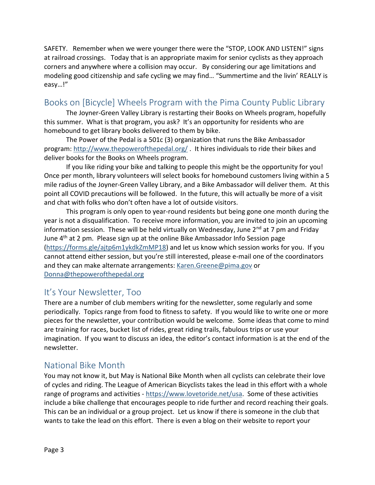SAFETY. Remember when we were younger there were the "STOP, LOOK AND LISTEN!" signs at railroad crossings. Today that is an appropriate maxim for senior cyclists as they approach corners and anywhere where a collision may occur. By considering our age limitations and modeling good citizenship and safe cycling we may find… "Summertime and the livin' REALLY is easy…!"

## <span id="page-2-0"></span>Books on [Bicycle] Wheels Program with the Pima County Public Library

The Joyner-Green Valley Library is restarting their Books on Wheels program, hopefully this summer. What is that program, you ask? It's an opportunity for residents who are homebound to get library books delivered to them by bike.

The Power of the Pedal is a 501c (3) organization that runs the Bike Ambassador program:<http://www.thepowerofthepedal.org/> . It hires individuals to ride their bikes and deliver books for the Books on Wheels program.

If you like riding your bike and talking to people this might be the opportunity for you! Once per month, library volunteers will select books for homebound customers living within a 5 mile radius of the Joyner-Green Valley Library, and a Bike Ambassador will deliver them. At this point all COVID precautions will be followed. In the future, this will actually be more of a visit and chat with folks who don't often have a lot of outside visitors.

This program is only open to year-round residents but being gone one month during the year is not a disqualification. To receive more information, you are invited to join an upcoming information session. These will be held virtually on Wednesday, June  $2^{nd}$  at 7 pm and Friday June 4<sup>th</sup> at 2 pm. Please sign up at the online [Bike Ambassador Info Session page](Bike%20Ambassador%20Info%20Session%20page) [\(https://forms.gle/ajtp6m1ykdkZmMP18\)](https://forms.gle/ajtp6m1ykdkZmMP18) and let us know which session works for you. If you cannot attend either session, but you're still interested, please e-mail one of the coordinators and they can make alternate arrangements: [Karen.Greene@pima.gov](mailto:Karen.Greene@pima.gov) or [Donna@thepowerofthepedal.org](mailto:Donna@thepowerofthepedal.org)

#### <span id="page-2-1"></span>It's Your Newsletter, Too

There are a number of club members writing for the newsletter, some regularly and some periodically. Topics range from food to fitness to safety. If you would like to write one or more pieces for the newsletter, your contribution would be welcome. Some ideas that come to mind are training for races, bucket list of rides, great riding trails, fabulous trips or use your imagination. If you want to discuss an idea, the editor's contact information is at the end of the newsletter.

#### <span id="page-2-2"></span>National Bike Month

You may not know it, but May is National Bike Month when all cyclists can celebrate their love of cycles and riding. The League of American Bicyclists takes the lead in this effort with a whole range of programs and activities - [https://www.lovetoride.net/usa.](https://www.lovetoride.net/usa) Some of these activities include a bike challenge that encourages people to ride further and record reaching their goals. This can be an individual or a group project. Let us know if there is someone in the club that wants to take the lead on this effort. There is even a blog on their website to report your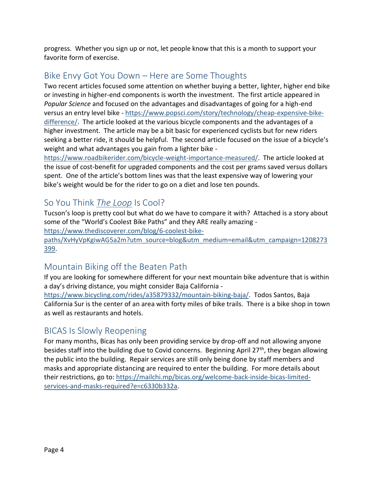progress. Whether you sign up or not, let people know that this is a month to support your favorite form of exercise.

# <span id="page-3-0"></span>Bike Envy Got You Down – Here are Some Thoughts

Two recent articles focused some attention on whether buying a better, lighter, higher end bike or investing in higher-end components is worth the investment. The first article appeared in *Popular Science* and focused on the advantages and disadvantages of going for a high-end versus an entry level bike - [https://www.popsci.com/story/technology/cheap-expensive-bike](https://www.popsci.com/story/technology/cheap-expensive-bike-difference/)[difference/.](https://www.popsci.com/story/technology/cheap-expensive-bike-difference/) The article looked at the various bicycle components and the advantages of a higher investment. The article may be a bit basic for experienced cyclists but for new riders seeking a better ride, it should be helpful. The second article focused on the issue of a bicycle's weight and what advantages you gain from a lighter bike -

[https://www.roadbikerider.com/bicycle-weight-importance-measured/.](https://www.roadbikerider.com/bicycle-weight-importance-measured/) The article looked at the issue of cost-benefit for upgraded components and the cost per grams saved versus dollars spent. One of the article's bottom lines was that the least expensive way of lowering your bike's weight would be for the rider to go on a diet and lose ten pounds.

## <span id="page-3-1"></span>So You Think *The Loop* Is Cool?

Tucson's loop is pretty cool but what do we have to compare it with? Attached is a story about some of the "World's Coolest Bike Paths" and they ARE really amazing -

[https://www.thediscoverer.com/blog/6-coolest-bike-](https://www.thediscoverer.com/blog/6-coolest-bike-paths/XvHyVpKgiwAG5a2m?utm_source=blog&utm_medium=email&utm_campaign=1208273399)

[paths/XvHyVpKgiwAG5a2m?utm\\_source=blog&utm\\_medium=email&utm\\_campaign=1208273](https://www.thediscoverer.com/blog/6-coolest-bike-paths/XvHyVpKgiwAG5a2m?utm_source=blog&utm_medium=email&utm_campaign=1208273399) [399.](https://www.thediscoverer.com/blog/6-coolest-bike-paths/XvHyVpKgiwAG5a2m?utm_source=blog&utm_medium=email&utm_campaign=1208273399)

# <span id="page-3-2"></span>Mountain Biking off the Beaten Path

If you are looking for somewhere different for your next mountain bike adventure that is within a day's driving distance, you might consider Baja California -

[https://www.bicycling.com/rides/a35879332/mountain-biking-baja/.](https://www.bicycling.com/rides/a35879332/mountain-biking-baja/) Todos Santos, Baja California Sur is the center of an area with forty miles of bike trails. There is a bike shop in town as well as restaurants and hotels.

## <span id="page-3-3"></span>BICAS Is Slowly Reopening

For many months, Bicas has only been providing service by drop-off and not allowing anyone besides staff into the building due to Covid concerns. Beginning April 27<sup>th</sup>, they began allowing the public into the building. Repair services are still only being done by staff members and masks and appropriate distancing are required to enter the building. For more details about their restrictions, go to: [https://mailchi.mp/bicas.org/welcome-back-inside-bicas-limited](https://mailchi.mp/bicas.org/welcome-back-inside-bicas-limited-services-and-masks-required?e=c6330b332a)[services-and-masks-required?e=c6330b332a.](https://mailchi.mp/bicas.org/welcome-back-inside-bicas-limited-services-and-masks-required?e=c6330b332a)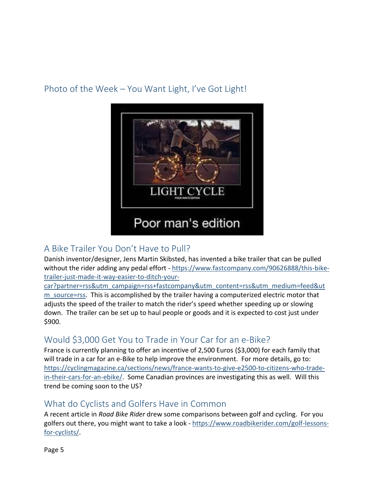# <span id="page-4-0"></span>Photo of the Week – You Want Light, I've Got Light!



# <span id="page-4-1"></span>A Bike Trailer You Don't Have to Pull?

Danish inventor/designer, Jens Martin Skibsted, has invented a bike trailer that can be pulled without the rider adding any pedal effort - [https://www.fastcompany.com/90626888/this-bike](https://www.fastcompany.com/90626888/this-bike-trailer-just-made-it-way-easier-to-ditch-your-car?partner=rss&utm_campaign=rss+fastcompany&utm_content=rss&utm_medium=feed&utm_source=rss)[trailer-just-made-it-way-easier-to-ditch-your-](https://www.fastcompany.com/90626888/this-bike-trailer-just-made-it-way-easier-to-ditch-your-car?partner=rss&utm_campaign=rss+fastcompany&utm_content=rss&utm_medium=feed&utm_source=rss)

[car?partner=rss&utm\\_campaign=rss+fastcompany&utm\\_content=rss&utm\\_medium=feed&ut](https://www.fastcompany.com/90626888/this-bike-trailer-just-made-it-way-easier-to-ditch-your-car?partner=rss&utm_campaign=rss+fastcompany&utm_content=rss&utm_medium=feed&utm_source=rss) m source=rss. This is accomplished by the trailer having a computerized electric motor that adjusts the speed of the trailer to match the rider's speed whether speeding up or slowing down. The trailer can be set up to haul people or goods and it is expected to cost just under \$900.

# <span id="page-4-2"></span>Would \$3,000 Get You to Trade in Your Car for an e-Bike?

France is currently planning to offer an incentive of 2,500 Euros (\$3,000) for each family that will trade in a car for an e-Bike to help improve the environment. For more details, go to: [https://cyclingmagazine.ca/sections/news/france-wants-to-give-e2500-to-citizens-who-trade](https://cyclingmagazine.ca/sections/news/france-wants-to-give-e2500-to-citizens-who-trade-in-their-cars-for-an-ebike/)[in-their-cars-for-an-ebike/.](https://cyclingmagazine.ca/sections/news/france-wants-to-give-e2500-to-citizens-who-trade-in-their-cars-for-an-ebike/) Some Canadian provinces are investigating this as well. Will this trend be coming soon to the US?

#### <span id="page-4-3"></span>What do Cyclists and Golfers Have in Common

A recent article in *Road Bike Rider* drew some comparisons between golf and cycling. For you golfers out there, you might want to take a look - [https://www.roadbikerider.com/golf-lessons](https://www.roadbikerider.com/golf-lessons-for-cyclists/)[for-cyclists/.](https://www.roadbikerider.com/golf-lessons-for-cyclists/)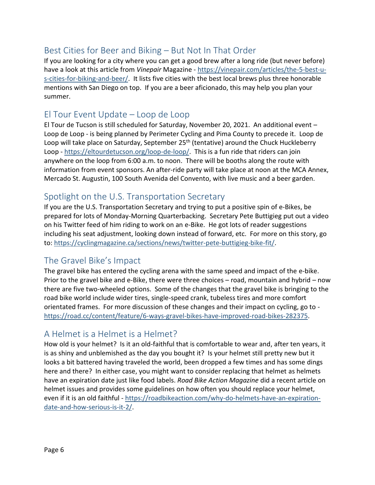## <span id="page-5-0"></span>Best Cities for Beer and Biking – But Not In That Order

If you are looking for a city where you can get a good brew after a long ride (but never before) have a look at this article from *Vinepair* Magazine - [https://vinepair.com/articles/the-5-best-u](https://vinepair.com/articles/the-5-best-u-s-cities-for-biking-and-beer/)[s-cities-for-biking-and-beer/.](https://vinepair.com/articles/the-5-best-u-s-cities-for-biking-and-beer/) It lists five cities with the best local brews plus three honorable mentions with San Diego on top. If you are a beer aficionado, this may help you plan your summer.

#### <span id="page-5-1"></span>El Tour Event Update – Loop de Loop

El Tour de Tucson is still scheduled for Saturday, November 20, 2021. An additional event – Loop de Loop - is being planned by Perimeter Cycling and Pima County to precede it. Loop de Loop will take place on Saturday, September 25<sup>th</sup> (tentative) around the Chuck Huckleberry Loop - [https://eltourdetucson.org/loop-de-loop/.](https://eltourdetucson.org/loop-de-loop/) This is a fun ride that riders can join anywhere on the loop from 6:00 a.m. to noon. There will be booths along the route with information from event sponsors. An after-ride party will take place at noon at the MCA Annex, Mercado St. Augustin, 100 South Avenida del Convento, with live music and a beer garden.

## <span id="page-5-2"></span>Spotlight on the U.S. Transportation Secretary

If you are the U.S. Transportation Secretary and trying to put a positive spin of e-Bikes, be prepared for lots of Monday-Morning Quarterbacking. Secretary Pete Buttigieg put out a video on his Twitter feed of him riding to work on an e-Bike. He got lots of reader suggestions including his seat adjustment, looking down instead of forward, etc. For more on this story, go to: [https://cyclingmagazine.ca/sections/news/twitter-pete-buttigieg-bike-fit/.](https://cyclingmagazine.ca/sections/news/twitter-pete-buttigieg-bike-fit/)

## <span id="page-5-3"></span>The Gravel Bike's Impact

The gravel bike has entered the cycling arena with the same speed and impact of the e-bike. Prior to the gravel bike and e-Bike, there were three choices – road, mountain and hybrid – now there are five two-wheeled options. Some of the changes that the gravel bike is bringing to the road bike world include wider tires, single-speed crank, tubeless tires and more comfort orientated frames. For more discussion of these changes and their impact on cycling, go to [https://road.cc/content/feature/6-ways-gravel-bikes-have-improved-road-bikes-282375.](https://road.cc/content/feature/6-ways-gravel-bikes-have-improved-road-bikes-282375)

#### <span id="page-5-4"></span>A Helmet is a Helmet is a Helmet?

How old is your helmet? Is it an old-faithful that is comfortable to wear and, after ten years, it is as shiny and unblemished as the day you bought it? Is your helmet still pretty new but it looks a bit battered having traveled the world, been dropped a few times and has some dings here and there? In either case, you might want to consider replacing that helmet as helmets have an expiration date just like food labels. *Road Bike Action Magazine* did a recent article on helmet issues and provides some guidelines on how often you should replace your helmet, even if it is an old faithful - [https://roadbikeaction.com/why-do-helmets-have-an-expiration](https://roadbikeaction.com/why-do-helmets-have-an-expiration-date-and-how-serious-is-it-2/)[date-and-how-serious-is-it-2/.](https://roadbikeaction.com/why-do-helmets-have-an-expiration-date-and-how-serious-is-it-2/)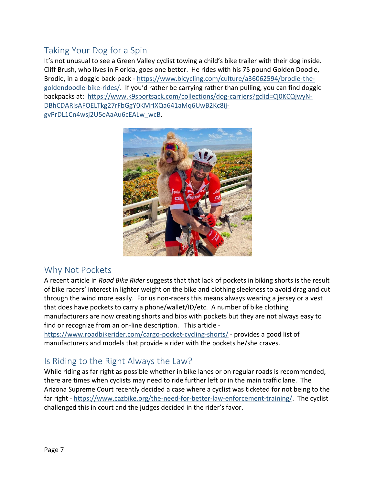# <span id="page-6-0"></span>Taking Your Dog for a Spin

It's not unusual to see a Green Valley cyclist towing a child's bike trailer with their dog inside. Cliff Brush, who lives in Florida, goes one better. He rides with his 75 pound Golden Doodle, Brodie, in a doggie back-pack - [https://www.bicycling.com/culture/a36062594/brodie-the](https://www.bicycling.com/culture/a36062594/brodie-the-goldendoodle-bike-rides/)[goldendoodle-bike-rides/](https://www.bicycling.com/culture/a36062594/brodie-the-goldendoodle-bike-rides/). If you'd rather be carrying rather than pulling, you can find doggie backpacks at: [https://www.k9sportsack.com/collections/dog-carriers?gclid=Cj0KCQjwyN-](https://www.k9sportsack.com/collections/dog-carriers?gclid=Cj0KCQjwyN-DBhCDARIsAFOELTkg27rFbGgY0KMrIXQa641aMq6UwB2Kc8ij-gvPrDL1Cn4wsj2U5eAaAu6cEALw_wcB)[DBhCDARIsAFOELTkg27rFbGgY0KMrIXQa641aMq6UwB2Kc8ij](https://www.k9sportsack.com/collections/dog-carriers?gclid=Cj0KCQjwyN-DBhCDARIsAFOELTkg27rFbGgY0KMrIXQa641aMq6UwB2Kc8ij-gvPrDL1Cn4wsj2U5eAaAu6cEALw_wcB)[gvPrDL1Cn4wsj2U5eAaAu6cEALw\\_wcB.](https://www.k9sportsack.com/collections/dog-carriers?gclid=Cj0KCQjwyN-DBhCDARIsAFOELTkg27rFbGgY0KMrIXQa641aMq6UwB2Kc8ij-gvPrDL1Cn4wsj2U5eAaAu6cEALw_wcB)



#### <span id="page-6-1"></span>Why Not Pockets

A recent article in *Road Bike Rider* suggests that that lack of pockets in biking shorts is the result of bike racers' interest in lighter weight on the bike and clothing sleekness to avoid drag and cut through the wind more easily. For us non-racers this means always wearing a jersey or a vest that does have pockets to carry a phone/wallet/ID/etc. A number of bike clothing manufacturers are now creating shorts and bibs with pockets but they are not always easy to find or recognize from an on-line description. This article -

<https://www.roadbikerider.com/cargo-pocket-cycling-shorts/> - provides a good list of manufacturers and models that provide a rider with the pockets he/she craves.

## <span id="page-6-2"></span>Is Riding to the Right Always the Law?

While riding as far right as possible whether in bike lanes or on regular roads is recommended, there are times when cyclists may need to ride further left or in the main traffic lane. The Arizona Supreme Court recently decided a case where a cyclist was ticketed for not being to the far right - [https://www.cazbike.org/the-need-for-better-law-enforcement-training/.](https://www.cazbike.org/the-need-for-better-law-enforcement-training/) The cyclist challenged this in court and the judges decided in the rider's favor.